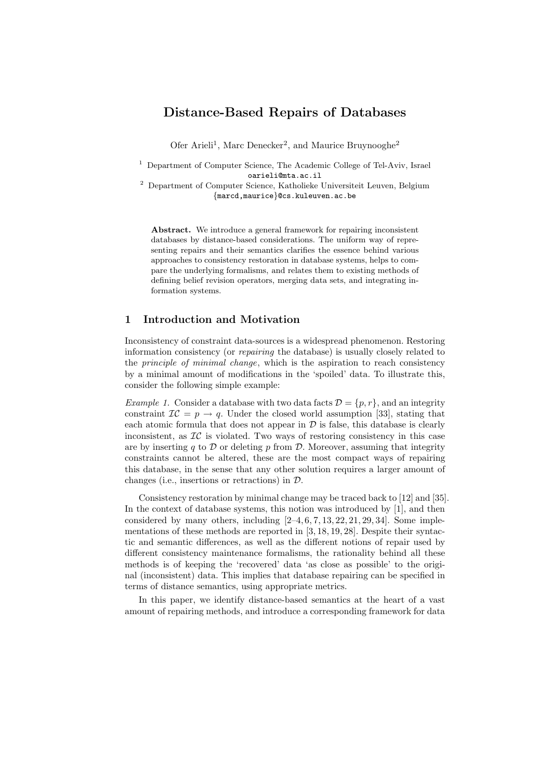# Distance-Based Repairs of Databases

Ofer Arieli<sup>1</sup>, Marc Denecker<sup>2</sup>, and Maurice Bruynooghe<sup>2</sup>

<sup>1</sup> Department of Computer Science, The Academic College of Tel-Aviv, Israel oarieli@mta.ac.il

<sup>2</sup> Department of Computer Science, Katholieke Universiteit Leuven, Belgium {marcd,maurice}@cs.kuleuven.ac.be

Abstract. We introduce a general framework for repairing inconsistent databases by distance-based considerations. The uniform way of representing repairs and their semantics clarifies the essence behind various approaches to consistency restoration in database systems, helps to compare the underlying formalisms, and relates them to existing methods of defining belief revision operators, merging data sets, and integrating information systems.

## 1 Introduction and Motivation

Inconsistency of constraint data-sources is a widespread phenomenon. Restoring information consistency (or repairing the database) is usually closely related to the principle of minimal change, which is the aspiration to reach consistency by a minimal amount of modifications in the 'spoiled' data. To illustrate this, consider the following simple example:

*Example 1.* Consider a database with two data facts  $\mathcal{D} = \{p, r\}$ , and an integrity constraint  $IC = p \rightarrow q$ . Under the closed world assumption [33], stating that each atomic formula that does not appear in  $\mathcal D$  is false, this database is clearly inconsistent, as  $\mathcal{IC}$  is violated. Two ways of restoring consistency in this case are by inserting q to  $\mathcal D$  or deleting p from  $\mathcal D$ . Moreover, assuming that integrity constraints cannot be altered, these are the most compact ways of repairing this database, in the sense that any other solution requires a larger amount of changes (i.e., insertions or retractions) in D.

Consistency restoration by minimal change may be traced back to [12] and [35]. In the context of database systems, this notion was introduced by [1], and then considered by many others, including  $[2-4, 6, 7, 13, 22, 21, 29, 34]$ . Some implementations of these methods are reported in [3, 18, 19, 28]. Despite their syntactic and semantic differences, as well as the different notions of repair used by different consistency maintenance formalisms, the rationality behind all these methods is of keeping the 'recovered' data 'as close as possible' to the original (inconsistent) data. This implies that database repairing can be specified in terms of distance semantics, using appropriate metrics.

In this paper, we identify distance-based semantics at the heart of a vast amount of repairing methods, and introduce a corresponding framework for data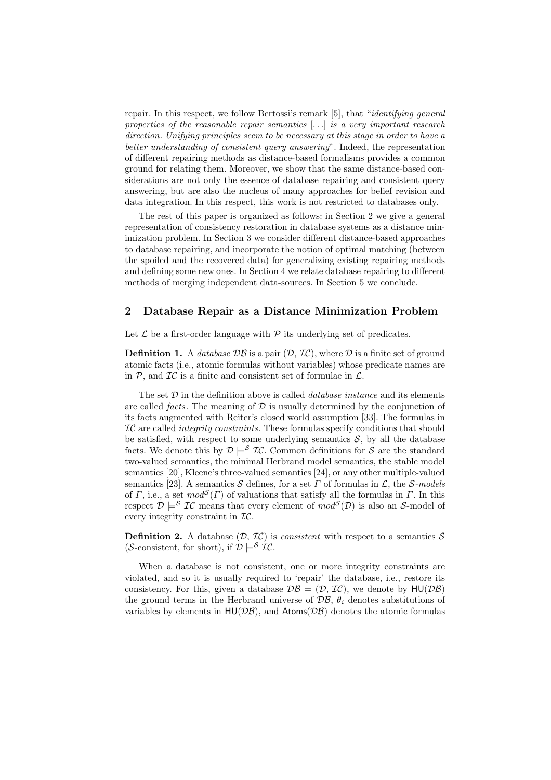repair. In this respect, we follow Bertossi's remark [5], that "identifying general properties of the reasonable repair semantics  $[...]$  is a very important research direction. Unifying principles seem to be necessary at this stage in order to have a better understanding of consistent query answering". Indeed, the representation of different repairing methods as distance-based formalisms provides a common ground for relating them. Moreover, we show that the same distance-based considerations are not only the essence of database repairing and consistent query answering, but are also the nucleus of many approaches for belief revision and data integration. In this respect, this work is not restricted to databases only.

The rest of this paper is organized as follows: in Section 2 we give a general representation of consistency restoration in database systems as a distance minimization problem. In Section 3 we consider different distance-based approaches to database repairing, and incorporate the notion of optimal matching (between the spoiled and the recovered data) for generalizing existing repairing methods and defining some new ones. In Section 4 we relate database repairing to different methods of merging independent data-sources. In Section 5 we conclude.

## 2 Database Repair as a Distance Minimization Problem

Let  $\mathcal L$  be a first-order language with  $\mathcal P$  its underlying set of predicates.

**Definition 1.** A *database*  $\mathcal{DB}$  is a pair  $(\mathcal{D}, \mathcal{IC})$ , where  $\mathcal D$  is a finite set of ground atomic facts (i.e., atomic formulas without variables) whose predicate names are in  $P$ , and  $IC$  is a finite and consistent set of formulae in  $\mathcal{L}$ .

The set  $D$  in the definition above is called *database instance* and its elements are called *facts*. The meaning of  $D$  is usually determined by the conjunction of its facts augmented with Reiter's closed world assumption [33]. The formulas in  $IC$  are called *integrity constraints*. These formulas specify conditions that should be satisfied, with respect to some underlying semantics  $S$ , by all the database facts. We denote this by  $\mathcal{D} \models^{\mathcal{S}} \mathcal{IC}$ . Common definitions for  $\mathcal{S}$  are the standard two-valued semantics, the minimal Herbrand model semantics, the stable model semantics [20], Kleene's three-valued semantics [24], or any other multiple-valued semantics [23]. A semantics S defines, for a set  $\Gamma$  of formulas in  $\mathcal{L}$ , the S-models of Γ, i.e., a set  $mod^{\mathcal{S}}(\Gamma)$  of valuations that satisfy all the formulas in Γ. In this respect  $\mathcal{D} \models^S \mathcal{IC}$  means that every element of  $mod^S(\mathcal{D})$  is also an S-model of every integrity constraint in  $\mathcal{IC}.$ 

**Definition 2.** A database  $(D, \mathcal{IC})$  is *consistent* with respect to a semantics S (S-consistent, for short), if  $\mathcal{D} \models^{\mathcal{S}} \mathcal{I}\mathcal{C}$ .

When a database is not consistent, one or more integrity constraints are violated, and so it is usually required to 'repair' the database, i.e., restore its consistency. For this, given a database  $\mathcal{DB} = (\mathcal{D}, \mathcal{IC})$ , we denote by  $HU(\mathcal{DB})$ the ground terms in the Herbrand universe of  $\mathcal{DB}$ ,  $\theta_i$  denotes substitutions of variables by elements in  $HU(DB)$ , and  $Atoms(DB)$  denotes the atomic formulas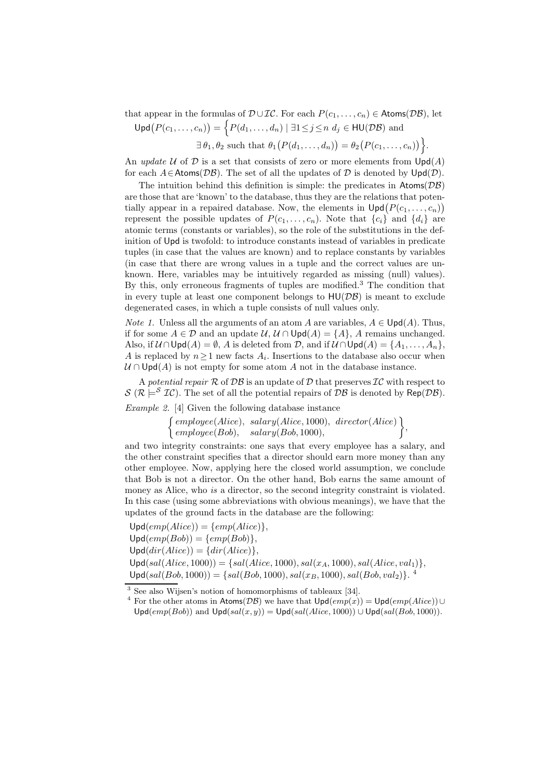that appear in the formulas of  $\mathcal{D} \cup \mathcal{IC}$ . For each  $P(c_1, \ldots, c_n) \in \text{Atoms}(\mathcal{DB})$ , let

 $\mathsf{Upd}\big(P(c_1,\ldots,c_n)\big) = \Big\{P(d_1,\ldots,d_n) \mid \exists 1\!\leq\! j\!\leq\!n\;d_j\in\mathsf{HU}(\mathcal{DB})\;\text{and}\;$ 

 $\exists \theta_1, \theta_2 \text{ such that } \theta_1(P(d_1, \ldots, d_n)) = \theta_2(P(c_1, \ldots, c_n))$ .

An update U of D is a set that consists of zero or more elements from  $\text{Upd}(A)$ for each  $A \in \text{Atoms}(\mathcal{DB})$ . The set of all the updates of  $\mathcal D$  is denoted by  $\text{Upd}(\mathcal D)$ .

The intuition behind this definition is simple: the predicates in  $\text{Atoms}(\mathcal{DB})$ are those that are 'known' to the database, thus they are the relations that potentially appear in a repaired database. Now, the elements in  $\text{Upd}(P(c_1, \ldots, c_n))$ represent the possible updates of  $P(c_1, \ldots, c_n)$ . Note that  $\{c_i\}$  and  $\{d_i\}$  are atomic terms (constants or variables), so the role of the substitutions in the definition of Upd is twofold: to introduce constants instead of variables in predicate tuples (in case that the values are known) and to replace constants by variables (in case that there are wrong values in a tuple and the correct values are unknown. Here, variables may be intuitively regarded as missing (null) values). By this, only erroneous fragments of tuples are modified.<sup>3</sup> The condition that in every tuple at least one component belongs to  $H\mathsf{U}(\mathcal{DB})$  is meant to exclude degenerated cases, in which a tuple consists of null values only.

*Note 1.* Unless all the arguments of an atom A are variables,  $A \in \text{Upd}(A)$ . Thus, if for some  $A \in \mathcal{D}$  and an update  $\mathcal{U}, \mathcal{U} \cap \mathsf{Upd}(A) = \{A\}, A$  remains unchanged. Also, if  $\mathcal{U} \cap \mathsf{Upd}(A) = \emptyset$ , A is deleted from  $\mathcal{D}$ , and if  $\mathcal{U} \cap \mathsf{Upd}(A) = \{A_1, \ldots, A_n\}$ , A is replaced by  $n \geq 1$  new facts  $A_i$ . Insertions to the database also occur when  $U \cap \text{Upd}(A)$  is not empty for some atom A not in the database instance.

A potential repair  $\mathcal R$  of  $\mathcal D\mathcal B$  is an update of  $\mathcal D$  that preserves  $\mathcal I\mathcal C$  with respect to  $S (\mathcal{R} \models^S \mathcal{IC})$ . The set of all the potential repairs of  $\mathcal{DB}$  is denoted by Rep( $\mathcal{DB}$ ).

Example 2. [4] Given the following database instance

 $\int \mathit{employee}(Alice), \; salary(Alice, 1000), \; director(Alice)$  $emplyee(Bob), salary(Bob, 1000),$  $\big\}$ 

and two integrity constraints: one says that every employee has a salary, and the other constraint specifies that a director should earn more money than any other employee. Now, applying here the closed world assumption, we conclude that Bob is not a director. On the other hand, Bob earns the same amount of money as Alice, who is a director, so the second integrity constraint is violated. In this case (using some abbreviations with obvious meanings), we have that the updates of the ground facts in the database are the following:

 $Upd(emp(Alice)) = \{emp(Alice)\},\$  $Upd(emp(Bob)) = \{emp(Bob)\},\$  $Upd(dir(Alice)) = \{dir(Alice)\},\$  $Upd(sal(Alice, 1000)) = \{sal(Alice, 1000), sal(x_A, 1000), sal(Alice, val_1)\},$  $\textsf{Upd}(sal(Bob, 1000)) = \{sal(Bob, 1000), sal(x_B, 1000), sal(Bob, val_2)\}.$ <sup>4</sup>

<sup>3</sup> See also Wijsen's notion of homomorphisms of tableaux [34].

<sup>&</sup>lt;sup>4</sup> For the other atoms in Atoms(DB) we have that  $\text{Upd}(emp(x)) = \text{Upd}(emp(Alice)) \cup$  $\textsf{Upd}(emp(Bob))$  and  $\textsf{Upd}(sal(x,y)) = \textsf{Upd}(sal(Alice, 1000)) \cup \textsf{Upd}(sal(Bob, 1000)).$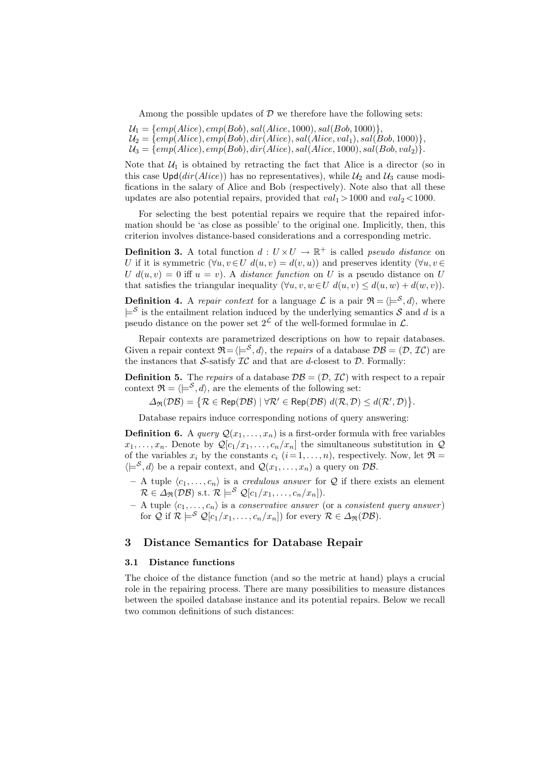Among the possible updates of  $\mathcal D$  we therefore have the following sets:

- $U_1 = \{emp(Alice), emp(Bob), sal(Alice, 1000), sal(Bob, 1000)\},\$
- $\mathcal{U}_2 = \{\text{emp}(Alice), \text{emp}(Bob), \text{dir}(Alice), \text{sal}(Alice, \text{val}_1), \text{sal}(Bob, 1000)\},\$
- $\mathcal{U}_3 = \{\text{emp}(\text{Alice}), \text{emp}(\text{Bob}), \text{dir}(\text{Alice}), \text{sal}(\text{Alice}, 1000), \text{sal}(\text{Bob}, \text{val}_2)\}.$

Note that  $U_1$  is obtained by retracting the fact that Alice is a director (so in this case  $\text{Upd}(dir(Alice))$  has no representatives), while  $\mathcal{U}_2$  and  $\mathcal{U}_3$  cause modifications in the salary of Alice and Bob (respectively). Note also that all these updates are also potential repairs, provided that  $val_1 > 1000$  and  $val_2 < 1000$ .

For selecting the best potential repairs we require that the repaired information should be 'as close as possible' to the original one. Implicitly, then, this criterion involves distance-based considerations and a corresponding metric.

**Definition 3.** A total function  $d: U \times U \rightarrow \mathbb{R}^+$  is called *pseudo distance* on U if it is symmetric  $(\forall u, v \in U \ d(u, v) = d(v, u))$  and preserves identity  $(\forall u, v \in U \ d(u, v))$ U  $d(u, v) = 0$  iff  $u = v$ ). A *distance function* on U is a pseudo distance on U that satisfies the triangular inequality  $(\forall u, v, w \in U \ d(u, v) \leq d(u, w) + d(w, v)).$ 

**Definition 4.** A repair context for a language  $\mathcal{L}$  is a pair  $\mathcal{R} = \langle \models^{\mathcal{S}} \mathcal{A} \rangle$ , where  $\models^{\mathcal{S}}$  is the entailment relation induced by the underlying semantics  $\mathcal{S}$  and  $d$  is a pseudo distance on the power set  $2^{\mathcal{L}}$  of the well-formed formulae in  $\mathcal{L}$ .

Repair contexts are parametrized descriptions on how to repair databases. Given a repair context  $\mathfrak{R} = \langle e^S, d \rangle$ , the *repairs* of a database  $\mathcal{DB} = (\mathcal{D}, \mathcal{IC})$  are the instances that S-satisfy  $IC$  and that are d-closest to  $D$ . Formally:

**Definition 5.** The repairs of a database  $\mathcal{DB} = (\mathcal{D}, \mathcal{IC})$  with respect to a repair context  $\mathfrak{R} = \langle \models^{\mathcal{S}}, d \rangle$ , are the elements of the following set:

 $\Delta_{\mathfrak{R}}(\mathcal{DB}) = \{ \mathcal{R} \in \mathsf{Rep}(\mathcal{DB}) \mid \forall \mathcal{R}' \in \mathsf{Rep}(\mathcal{DB}) \ d(\mathcal{R}, \mathcal{D}) \leq d(\mathcal{R}', \mathcal{D}) \}.$ 

Database repairs induce corresponding notions of query answering:

**Definition 6.** A *query*  $Q(x_1, \ldots, x_n)$  is a first-order formula with free variables  $x_1, \ldots, x_n$ . Denote by  $\mathcal{Q}[c_1/x_1, \ldots, c_n/x_n]$  the simultaneous substitution in  $\mathcal Q$ of the variables  $x_i$  by the constants  $c_i$   $(i=1,\ldots,n)$ , respectively. Now, let  $\Re$  =  $\langle \models^S, d \rangle$  be a repair context, and  $\mathcal{Q}(x_1, \ldots, x_n)$  a query on DB.

- A tuple  $\langle c_1, \ldots, c_n \rangle$  is a *credulous answer* for Q if there exists an element  $\mathcal{R} \in \Delta_{\mathfrak{R}}(\mathcal{DB})$  s.t.  $\mathcal{R} \models^{\mathcal{S}} \mathcal{Q}[c_1/x_1, \ldots, c_n/x_n]).$
- $-$  A tuple  $\langle c_1, \ldots, c_n \rangle$  is a conservative answer (or a consistent query answer) for  $\mathcal{Q}$  if  $\mathcal{R} \models^{\mathcal{S}} \mathcal{Q}[c_1/x_1, \ldots, c_n/x_n])$  for every  $\mathcal{R} \in \Delta_{\mathfrak{R}}(\mathcal{DB})$ .

## 3 Distance Semantics for Database Repair

## 3.1 Distance functions

The choice of the distance function (and so the metric at hand) plays a crucial role in the repairing process. There are many possibilities to measure distances between the spoiled database instance and its potential repairs. Below we recall two common definitions of such distances: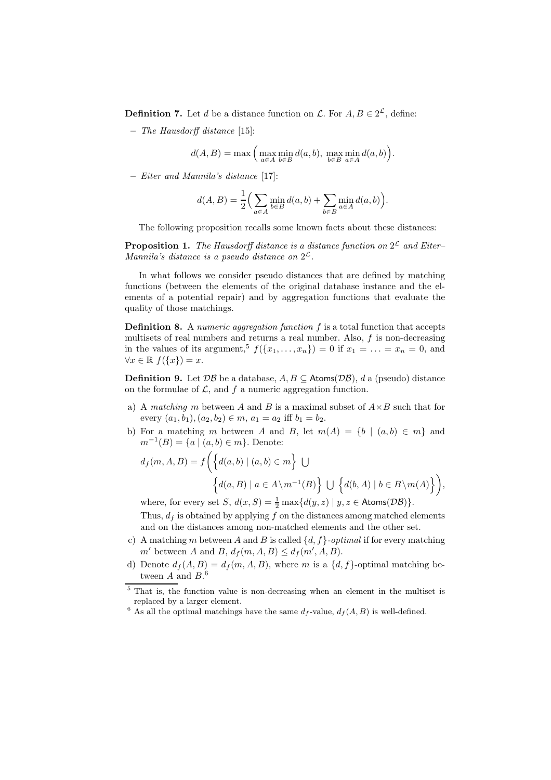**Definition 7.** Let d be a distance function on  $\mathcal{L}$ . For  $A, B \in 2^{\mathcal{L}}$ , define:

– The Hausdorff distance [15]:

$$
d(A, B) = \max\left(\max_{a \in A} \min_{b \in B} d(a, b), \max_{b \in B} \min_{a \in A} d(a, b)\right).
$$

– Eiter and Mannila's distance [17]:

$$
d(A, B) = \frac{1}{2} \Big( \sum_{a \in A} \min_{b \in B} d(a, b) + \sum_{b \in B} \min_{a \in A} d(a, b) \Big).
$$

The following proposition recalls some known facts about these distances:

**Proposition 1.** The Hausdorff distance is a distance function on  $2^{\mathcal{L}}$  and Eiter-Mannila's distance is a pseudo distance on  $2^{\mathcal{L}}$ .

In what follows we consider pseudo distances that are defined by matching functions (between the elements of the original database instance and the elements of a potential repair) and by aggregation functions that evaluate the quality of those matchings.

**Definition 8.** A numeric aggregation function  $f$  is a total function that accepts multisets of real numbers and returns a real number. Also,  $f$  is non-decreasing in the values of its argument,<sup>5</sup>  $f({x_1},...,x_n)=0$  if  $x_1=...=x_n=0$ , and  $\forall x \in \mathbb{R}$   $f(\lbrace x \rbrace) = x$ .

**Definition 9.** Let  $\mathcal{DB}$  be a database,  $A, B \subseteq$  Atoms( $\mathcal{DB}$ ), d a (pseudo) distance on the formulae of  $\mathcal{L}$ , and  $f$  a numeric aggregation function.

- a) A matching m between A and B is a maximal subset of  $A \times B$  such that for every  $(a_1, b_1), (a_2, b_2) \in m$ ,  $a_1 = a_2$  iff  $b_1 = b_2$ .
- b) For a matching m between A and B, let  $m(A) = \{b \mid (a, b) \in m\}$  and  $m^{-1}(B) = \{a \mid (a, b) \in m\}.$  Denote:

$$
d_f(m, A, B) = f\left(\{d(a, b) \mid (a, b) \in m\} \bigcup \{\textit{d}(a, B) \mid a \in A \setminus m^{-1}(B)\} \bigcup \{d(b, A) \mid b \in B \setminus m(A)\}\right),
$$

where, for every set  $S$ ,  $d(x, S) = \frac{1}{2} \max\{d(y, z) | y, z \in \text{Atoms}(\mathcal{DB})\}.$ 

Thus,  $d_f$  is obtained by applying f on the distances among matched elements and on the distances among non-matched elements and the other set.

- c) A matching m between A and B is called  $\{d, f\}$ -optimal if for every matching m' between A and B,  $d_f(m, A, B) \leq d_f(m', A, B)$ .
- d) Denote  $d_f(A, B) = d_f(m, A, B)$ , where m is a  $\{d, f\}$ -optimal matching between  $A$  and  $B$ .<sup>6</sup>

<sup>5</sup> That is, the function value is non-decreasing when an element in the multiset is replaced by a larger element.

<sup>&</sup>lt;sup>6</sup> As all the optimal matchings have the same  $d_f$ -value,  $d_f(A, B)$  is well-defined.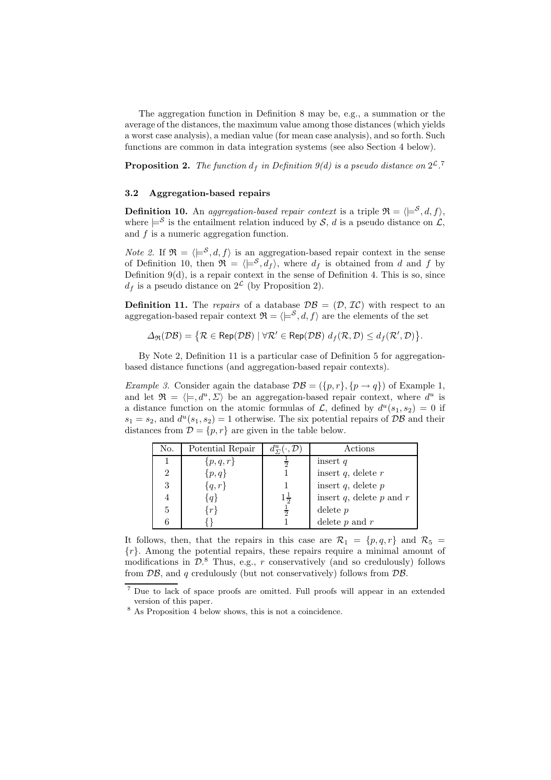The aggregation function in Definition 8 may be, e.g., a summation or the average of the distances, the maximum value among those distances (which yields a worst case analysis), a median value (for mean case analysis), and so forth. Such functions are common in data integration systems (see also Section 4 below).

**Proposition 2.** The function  $d_f$  in Definition 9(d) is a pseudo distance on  $2^{\mathcal{L}}$ .<sup>7</sup>

#### 3.2 Aggregation-based repairs

**Definition 10.** An aggregation-based repair context is a triple  $\mathfrak{R} = \langle \models^{\mathcal{S}}, d, f \rangle$ , where  $\models^{\mathcal{S}}$  is the entailment relation induced by  $\mathcal{S}, d$  is a pseudo distance on  $\mathcal{L},$ and  $f$  is a numeric aggregation function.

*Note 2.* If  $\mathfrak{R} = \langle \models^{\mathcal{S}}, d, f \rangle$  is an aggregation-based repair context in the sense of Definition 10, then  $\mathfrak{R} = \langle \models^{\mathcal{S}}, d_f \rangle$ , where  $d_f$  is obtained from d and f by Definition 9(d), is a repair context in the sense of Definition 4. This is so, since  $d_f$  is a pseudo distance on  $2^{\mathcal{L}}$  (by Proposition 2).

**Definition 11.** The repairs of a database  $\mathcal{DB} = (\mathcal{D}, \mathcal{IC})$  with respect to an aggregation-based repair context  $\mathfrak{R} = \langle e^{\mathfrak{S}}, d, f \rangle$  are the elements of the set

$$
\Delta_{\mathfrak{R}}(\mathcal{DB}) = \{ \mathcal{R} \in \mathsf{Rep}(\mathcal{DB}) \mid \forall \mathcal{R}' \in \mathsf{Rep}(\mathcal{DB}) \ d_f(\mathcal{R}, \mathcal{D}) \leq d_f(\mathcal{R}', \mathcal{D}) \}.
$$

By Note 2, Definition 11 is a particular case of Definition 5 for aggregationbased distance functions (and aggregation-based repair contexts).

Example 3. Consider again the database  $\mathcal{DB} = (\{p, r\}, \{p \rightarrow q\})$  of Example 1, and let  $\mathfrak{R} = \langle \models, d^u, \Sigma \rangle$  be an aggregation-based repair context, where  $d^u$  is a distance function on the atomic formulas of  $\mathcal{L}$ , defined by  $d^u(s_1, s_2) = 0$  if  $s_1 = s_2$ , and  $d^u(s_1, s_2) = 1$  otherwise. The six potential repairs of  $\mathcal{DB}$  and their distances from  $\mathcal{D} = \{p, r\}$  are given in the table below.

| No.            | Potential Repair | $d^u_{\Sigma}(\cdot, \mathcal{D})$ | Actions                         |  |  |
|----------------|------------------|------------------------------------|---------------------------------|--|--|
|                | $\{p,q,r\}$      |                                    | insert $q$                      |  |  |
| $\overline{2}$ | $\{p,q\}$        |                                    | insert $q$ , delete $r$         |  |  |
| 3              | $\{q,r\}$        |                                    | insert $q$ , delete $p$         |  |  |
|                |                  | $1\frac{1}{2}$                     | insert $q$ , delete $p$ and $r$ |  |  |
| 5              | $r\}$            | $\frac{1}{2}$                      | delete $p$                      |  |  |
|                |                  |                                    | delete $p$ and $r$              |  |  |

It follows, then, that the repairs in this case are  $\mathcal{R}_1 = \{p, q, r\}$  and  $\mathcal{R}_5 =$  ${r}$ . Among the potential repairs, these repairs require a minimal amount of modifications in  $\mathcal{D}$ .<sup>8</sup> Thus, e.g., r conservatively (and so credulously) follows from  $\mathcal{DB}$ , and q credulously (but not conservatively) follows from  $\mathcal{DB}$ .

<sup>7</sup> Due to lack of space proofs are omitted. Full proofs will appear in an extended version of this paper.

<sup>8</sup> As Proposition 4 below shows, this is not a coincidence.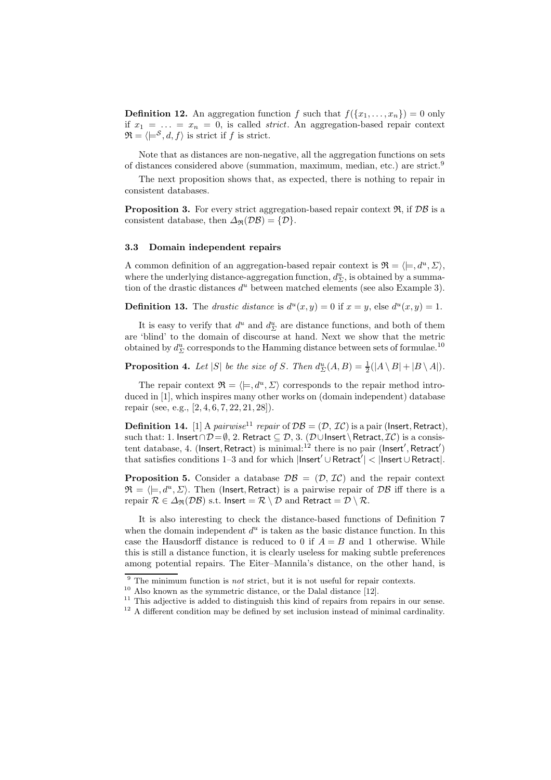**Definition 12.** An aggregation function f such that  $f(\{x_1, \ldots, x_n\}) = 0$  only if  $x_1 = \ldots = x_n = 0$ , is called *strict*. An aggregation-based repair context  $\mathfrak{R} = \langle \models^{\mathcal{S}}, d, f \rangle$  is strict if f is strict.

Note that as distances are non-negative, all the aggregation functions on sets of distances considered above (summation, maximum, median, etc.) are strict.<sup>9</sup>

The next proposition shows that, as expected, there is nothing to repair in consistent databases.

**Proposition 3.** For every strict aggregation-based repair context  $\mathfrak{R}$ , if  $\mathcal{DB}$  is a consistent database, then  $\Delta_{\mathfrak{R}}(\mathcal{DB}) = {\mathcal{D}}$ .

## 3.3 Domain independent repairs

A common definition of an aggregation-based repair context is  $\mathfrak{R} = \langle \models, d^u, \Sigma \rangle$ , where the underlying distance-aggregation function,  $d_{\Sigma}^{u}$ , is obtained by a summation of the drastic distances  $d^u$  between matched elements (see also Example 3).

**Definition 13.** The *drastic distance* is  $d^{u}(x, y) = 0$  if  $x = y$ , else  $d^{u}(x, y) = 1$ .

It is easy to verify that  $d^u$  and  $d^u_{\Sigma}$  are distance functions, and both of them are 'blind' to the domain of discourse at hand. Next we show that the metric obtained by  $d_{\Sigma}^u$  corresponds to the Hamming distance between sets of formulae.<sup>10</sup>

# **Proposition 4.** Let |S| be the size of S. Then  $d_{\Sigma}^u(A, B) = \frac{1}{2}(|A \setminus B| + |B \setminus A|)$ .

The repair context  $\mathfrak{R} = \langle \models, d^u, \Sigma \rangle$  corresponds to the repair method introduced in [1], which inspires many other works on (domain independent) database repair (see, e.g., [2, 4, 6, 7, 22, 21, 28]).

**Definition 14.** [1] A *pairwise*<sup>11</sup> repair of  $\mathcal{DB} = (\mathcal{D}, \mathcal{IC})$  is a pair (lnsert, Retract), such that: 1. Insert∩ $\mathcal{D} = \emptyset$ , 2. Retract  $\subseteq \mathcal{D}$ , 3. ( $\mathcal{D} \cup$ Insert \ Retract,  $\mathcal{IC}$ ) is a consistent database, 4. (Insert, Retract) is minimal:<sup>12</sup> there is no pair (Insert', Retract') that satisfies conditions 1–3 and for which |Insert′ ∪Retract′ | < |Insert ∪Retract|.

**Proposition 5.** Consider a database  $\mathcal{DB} = (\mathcal{D}, \mathcal{IC})$  and the repair context  $\mathfrak{R} = \langle \models, d^u, \Sigma \rangle$ . Then (Insert, Retract) is a pairwise repair of  $\mathcal{DB}$  iff there is a repair  $\mathcal{R} \in \Delta_{\mathfrak{R}}(\mathcal{DB})$  s.t. Insert =  $\mathcal{R} \setminus \mathcal{D}$  and Retract =  $\mathcal{D} \setminus \mathcal{R}$ .

It is also interesting to check the distance-based functions of Definition 7 when the domain independent  $d^u$  is taken as the basic distance function. In this case the Hausdorff distance is reduced to 0 if  $A = B$  and 1 otherwise. While this is still a distance function, it is clearly useless for making subtle preferences among potential repairs. The Eiter–Mannila's distance, on the other hand, is

 $9$  The minimum function is *not* strict, but it is not useful for repair contexts.

 $10$  Also known as the symmetric distance, or the Dalal distance [12].

 $11$  This adjective is added to distinguish this kind of repairs from repairs in our sense.

 $12$  A different condition may be defined by set inclusion instead of minimal cardinality.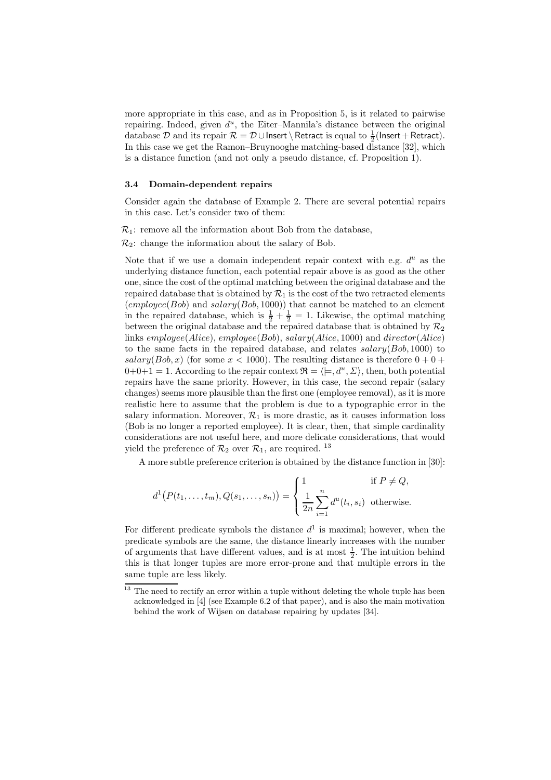more appropriate in this case, and as in Proposition 5, is it related to pairwise repairing. Indeed, given  $d^u$ , the Eiter-Mannila's distance between the original database  $\mathcal D$  and its repair  $\mathcal R=\mathcal D\cup$  Insert \ Retract is equal to  $\frac{1}{2}$ (Insert + Retract). In this case we get the Ramon–Bruynooghe matching-based distance [32], which is a distance function (and not only a pseudo distance, cf. Proposition 1).

### 3.4 Domain-dependent repairs

Consider again the database of Example 2. There are several potential repairs in this case. Let's consider two of them:

 $\mathcal{R}_1$ : remove all the information about Bob from the database,

 $\mathcal{R}_2$ : change the information about the salary of Bob.

Note that if we use a domain independent repair context with e.g.  $d<sup>u</sup>$  as the underlying distance function, each potential repair above is as good as the other one, since the cost of the optimal matching between the original database and the repaired database that is obtained by  $\mathcal{R}_1$  is the cost of the two retracted elements  $(employee(Bob)$  and  $salary(Bob, 1000))$  that cannot be matched to an element in the repaired database, which is  $\frac{1}{2} + \frac{1}{2} = 1$ . Likewise, the optimal matching between the original database and the repaired database that is obtained by  $\mathcal{R}_2$ links employee(Alice), employee(Bob), salary(Alice, 1000) and director(Alice) to the same facts in the repaired database, and relates  $salary(Bob, 1000)$  to salary(Bob, x) (for some  $x < 1000$ ). The resulting distance is therefore  $0 + 0 +$  $0+0+1=1$ . According to the repair context  $\mathfrak{R} = \langle \models, d^u, \Sigma \rangle$ , then, both potential repairs have the same priority. However, in this case, the second repair (salary changes) seems more plausible than the first one (employee removal), as it is more realistic here to assume that the problem is due to a typographic error in the salary information. Moreover,  $\mathcal{R}_1$  is more drastic, as it causes information loss (Bob is no longer a reported employee). It is clear, then, that simple cardinality considerations are not useful here, and more delicate considerations, that would yield the preference of  $\mathcal{R}_2$  over  $\mathcal{R}_1$ , are required. <sup>13</sup>

A more subtle preference criterion is obtained by the distance function in [30]:

$$
d^{1}(P(t_{1},...,t_{m}),Q(s_{1},...,s_{n})) = \begin{cases} 1 & \text{if } P \neq Q, \\ \frac{1}{2n} \sum_{i=1}^{n} d^{u}(t_{i},s_{i}) & \text{otherwise.} \end{cases}
$$

For different predicate symbols the distance  $d^1$  is maximal; however, when the predicate symbols are the same, the distance linearly increases with the number of arguments that have different values, and is at most  $\frac{1}{2}$ . The intuition behind this is that longer tuples are more error-prone and that multiple errors in the same tuple are less likely.

<sup>&</sup>lt;sup>13</sup> The need to rectify an error within a tuple without deleting the whole tuple has been acknowledged in [4] (see Example 6.2 of that paper), and is also the main motivation behind the work of Wijsen on database repairing by updates [34].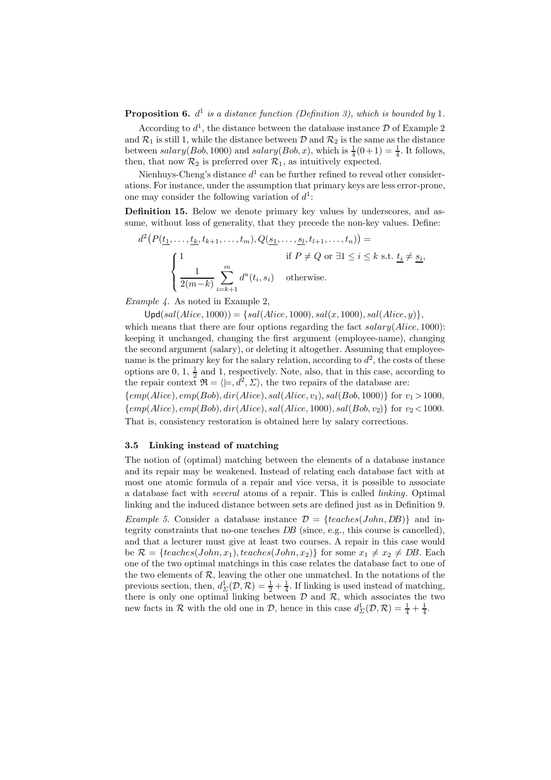**Proposition 6.**  $d^1$  is a distance function (Definition 3), which is bounded by 1.

According to  $d^1$ , the distance between the database instance  $\mathcal D$  of Example 2 and  $\mathcal{R}_1$  is still 1, while the distance between  $\mathcal{D}$  and  $\mathcal{R}_2$  is the same as the distance between  $salary(Bob, 1000)$  and  $salary(Bob, x)$ , which is  $\frac{1}{4}(0+1) = \frac{1}{4}$ . It follows, then, that now  $\mathcal{R}_2$  is preferred over  $\mathcal{R}_1$ , as intuitively expected.

Nienhuys-Cheng's distance  $d^1$  can be further refined to reveal other considerations. For instance, under the assumption that primary keys are less error-prone, one may consider the following variation of  $d^1$ :

Definition 15. Below we denote primary key values by underscores, and assume, without loss of generality, that they precede the non-key values. Define:

$$
d^2\left(P(\underbrace{t_1,\ldots,t_k}_{2}(t_{k+1},\ldots,t_m),Q(\underbrace{s_1,\ldots,s_l}_{2}(t_{l+1},\ldots,t_n))\right)=
$$
  
\nif  $P\neq Q$  or  $\exists 1\leq i\leq k$  s.t.  $\underbrace{t_i\neq s_i}_{2(m-k)}.$   
\n
$$
\begin{cases}\n1 & \text{if } P\neq Q \text{ or } \exists 1\leq i\leq k \text{ s.t. } \underbrace{t_i\neq s_i}_{2(m-k)}.\n\end{cases}
$$

Example 4. As noted in Example 2,

 $Upd(sal(Alice, 1000)) = \{sal(Alice, 1000), sal(x, 1000), sal(Alice, y)\},\$ 

which means that there are four options regarding the fact  $salary(Alice, 1000)$ : keeping it unchanged, changing the first argument (employee-name), changing the second argument (salary), or deleting it altogether. Assuming that employeename is the primary key for the salary relation, according to  $d^2$ , the costs of these options are  $0, 1, \frac{1}{2}$  and 1, respectively. Note, also, that in this case, according to the repair context  $\mathfrak{R} = \langle \models, d^2, \Sigma \rangle$ , the two repairs of the database are:

 ${emp(Alice), emp(Bob), dir(Alice), sal(Alice, v_1), sal(Bob, 1000)}$  for  $v_1 > 1000$ ,  ${emp(Alice), emp(Bob), dir(Alice), sal(Alice, 1000), sal(Bob, v_2)}$  for  $v_2 < 1000$ . That is, consistency restoration is obtained here by salary corrections.

### 3.5 Linking instead of matching

The notion of (optimal) matching between the elements of a database instance and its repair may be weakened. Instead of relating each database fact with at most one atomic formula of a repair and vice versa, it is possible to associate a database fact with several atoms of a repair. This is called linking. Optimal linking and the induced distance between sets are defined just as in Definition 9.

*Example 5.* Consider a database instance  $\mathcal{D} = \{teaches(John, DB)\}\$  and integrity constraints that no-one teaches DB (since, e.g., this course is cancelled), and that a lecturer must give at least two courses. A repair in this case would be  $\mathcal{R} = \{teaches(John, x_1), teaches(John, x_2)\}\$  for some  $x_1 \neq x_2 \neq DB$ . Each one of the two optimal matchings in this case relates the database fact to one of the two elements of  $R$ , leaving the other one unmatched. In the notations of the previous section, then,  $d_{\Sigma}^1(\mathcal{D}, \mathcal{R}) = \frac{1}{2} + \frac{1}{4}$ . If linking is used instead of matching, there is only one optimal linking between  $D$  and  $R$ , which associates the two new facts in  $\mathcal R$  with the old one in  $\mathcal D$ , hence in this case  $d_{\Sigma}^1(\mathcal D,\mathcal R)=\frac{1}{4}+\frac{1}{4}$ .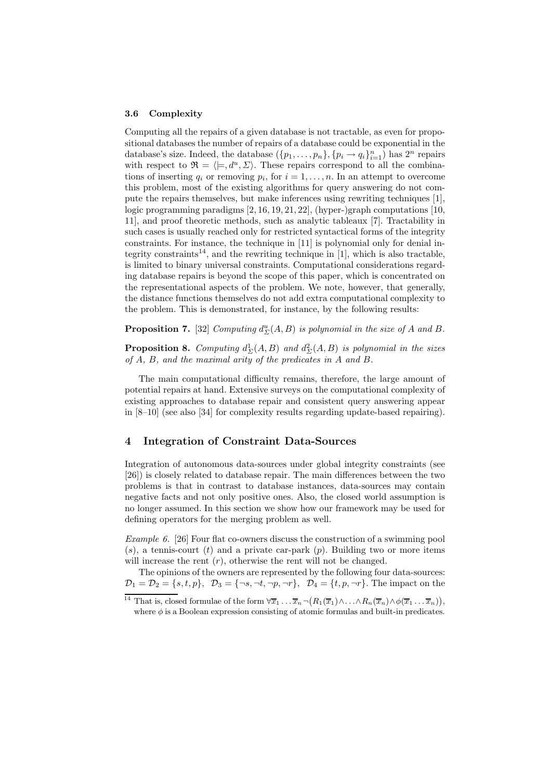#### 3.6 Complexity

Computing all the repairs of a given database is not tractable, as even for propositional databases the number of repairs of a database could be exponential in the database's size. Indeed, the database  $(\{p_1, \ldots, p_n\}, \{p_i \rightarrow q_i\}_{i=1}^n)$  has  $2^n$  repairs with respect to  $\mathfrak{R} = \langle \models, d^u, \Sigma \rangle$ . These repairs correspond to all the combinations of inserting  $q_i$  or removing  $p_i$ , for  $i = 1, \ldots, n$ . In an attempt to overcome this problem, most of the existing algorithms for query answering do not compute the repairs themselves, but make inferences using rewriting techniques [1], logic programming paradigms  $[2, 16, 19, 21, 22]$ , (hyper-)graph computations  $[10, 10]$ 11], and proof theoretic methods, such as analytic tableaux [7]. Tractability in such cases is usually reached only for restricted syntactical forms of the integrity constraints. For instance, the technique in [11] is polynomial only for denial integrity constraints<sup>14</sup>, and the rewriting technique in [1], which is also tractable, is limited to binary universal constraints. Computational considerations regarding database repairs is beyond the scope of this paper, which is concentrated on the representational aspects of the problem. We note, however, that generally, the distance functions themselves do not add extra computational complexity to the problem. This is demonstrated, for instance, by the following results:

**Proposition 7.** [32] Computing  $d_{\Sigma}^{u}(A, B)$  is polynomial in the size of A and B.

**Proposition 8.** Computing  $d_{\Sigma}^1(A, B)$  and  $d_{\Sigma}^2(A, B)$  is polynomial in the sizes of A, B, and the maximal arity of the predicates in A and B.

The main computational difficulty remains, therefore, the large amount of potential repairs at hand. Extensive surveys on the computational complexity of existing approaches to database repair and consistent query answering appear in [8–10] (see also [34] for complexity results regarding update-based repairing).

## 4 Integration of Constraint Data-Sources

Integration of autonomous data-sources under global integrity constraints (see [26]) is closely related to database repair. The main differences between the two problems is that in contrast to database instances, data-sources may contain negative facts and not only positive ones. Also, the closed world assumption is no longer assumed. In this section we show how our framework may be used for defining operators for the merging problem as well.

Example 6. [26] Four flat co-owners discuss the construction of a swimming pool  $(s)$ , a tennis-court  $(t)$  and a private car-park  $(p)$ . Building two or more items will increase the rent  $(r)$ , otherwise the rent will not be changed.

The opinions of the owners are represented by the following four data-sources:  $\mathcal{D}_1 = \mathcal{D}_2 = \{s, t, p\}, \ \mathcal{D}_3 = \{\neg s, \neg t, \neg p, \neg r\}, \ \mathcal{D}_4 = \{t, p, \neg r\}.$  The impact on the

<sup>&</sup>lt;sup>14</sup> That is, closed formulae of the form  $\forall \overline{x}_1 \dots \overline{x}_n \neg (R_1(\overline{x}_1) \wedge \dots \wedge R_n(\overline{x}_n) \wedge \phi(\overline{x}_1 \dots \overline{x}_n)),$ where  $\phi$  is a Boolean expression consisting of atomic formulas and built-in predicates.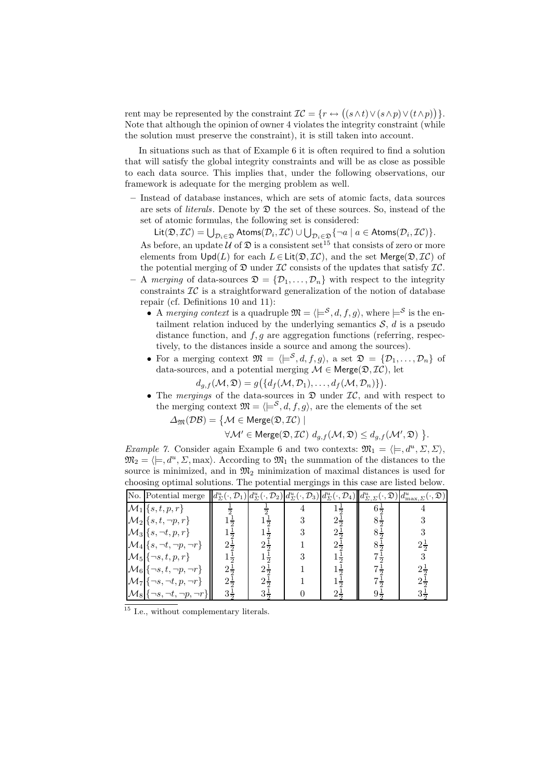rent may be represented by the constraint  $\mathcal{IC} = \{r \leftrightarrow ((s \wedge t) \vee (s \wedge p) \vee (t \wedge p))\}.$ Note that although the opinion of owner 4 violates the integrity constraint (while the solution must preserve the constraint), it is still taken into account.

In situations such as that of Example 6 it is often required to find a solution that will satisfy the global integrity constraints and will be as close as possible to each data source. This implies that, under the following observations, our framework is adequate for the merging problem as well.

– Instead of database instances, which are sets of atomic facts, data sources are sets of *literals*. Denote by  $\mathfrak D$  the set of these sources. So, instead of the set of atomic formulas, the following set is considered:

Lit $(\mathfrak{D},\mathcal{IC})=\bigcup_{\mathcal{D}_i\in\mathfrak{D}}\mathsf{Atoms}(\mathcal{D}_i,\mathcal{IC})\cup\bigcup_{\mathcal{D}_i\in\mathfrak{D}}\{\neg a\mid a\in\mathsf{Atoms}(\mathcal{D}_i,\mathcal{IC})\}.$ As before, an update  $U$  of  $\mathfrak D$  is a consistent set<sup>15</sup> that consists of zero or more elements from  $\text{Upd}(L)$  for each  $L \in \text{Lit}(\mathfrak{D}, \mathcal{IC})$ , and the set Merge $(\mathfrak{D}, \mathcal{IC})$  of the potential merging of  $\mathfrak D$  under  $\mathcal IC$  consists of the updates that satisfy  $\mathcal IC$ .

- A merging of data-sources  $\mathfrak{D} = {\mathcal{D}_1, \ldots, \mathcal{D}_n}$  with respect to the integrity constraints  $\mathcal{IC}$  is a straightforward generalization of the notion of database repair (cf. Definitions 10 and 11):
	- A merging context is a quadruple  $\mathfrak{M} = \langle e^{\mathcal{S}}, d, f, g \rangle$ , where  $e^{\mathcal{S}}$  is the entailment relation induced by the underlying semantics  $S$ ,  $d$  is a pseudo distance function, and  $f, g$  are aggregation functions (referring, respectively, to the distances inside a source and among the sources).
	- For a merging context  $\mathfrak{M} = \langle \models^{\mathcal{S}}, d, f, g \rangle$ , a set  $\mathfrak{D} = \{ \mathcal{D}_1, \ldots, \mathcal{D}_n \}$  of data-sources, and a potential merging  $\mathcal{M} \in \text{Merge}(\mathfrak{D}, \mathcal{IC})$ , let

$$
d_{g,f}(\mathcal{M},\mathfrak{D})=g(\lbrace d_f(\mathcal{M},\mathcal{D}_1),\ldots,d_f(\mathcal{M},\mathcal{D}_n)\rbrace).
$$

• The mergings of the data-sources in  $\mathfrak D$  under  $\mathcal{IC}$ , and with respect to the merging context  $\mathfrak{M} = \langle \models^{\mathcal{S}}, d, f, g \rangle$ , are the elements of the set

 $\Delta_{\mathfrak{M}}(\mathcal{DB}) = \{ \mathcal{M} \in \mathsf{Merge}(\mathfrak{D},\mathcal{IC}) \mid$ 

$$
\forall \mathcal{M}' \in \text{Merge}(\mathfrak{D},\mathcal{IC}) \ d_{g,f}(\mathcal{M},\mathfrak{D}) \leq d_{g,f}(\mathcal{M}',\mathfrak{D}) \ \}.
$$

*Example 7.* Consider again Example 6 and two contexts:  $\mathfrak{M}_1 = \langle \models, d^u, \Sigma, \Sigma \rangle$ ,  $\mathfrak{M}_2 = \langle \models, d^u, \Sigma, \text{max} \rangle$ . According to  $\mathfrak{M}_1$  the summation of the distances to the source is minimized, and in  $\mathfrak{M}_2$  minimization of maximal distances is used for choosing optimal solutions. The potential mergings in this case are listed below.

| No. Potential merge                               |                |                |                |                | $  d_{\Sigma}^u(\cdot,\mathcal{D}_1) d_{\Sigma}^u(\cdot,\mathcal{D}_2) d_{\Sigma}^u(\cdot,\mathcal{D}_3) d_{\Sigma}^u(\cdot,\mathcal{D}_4)  d_{\Sigma,\Sigma}^u(\cdot,\mathfrak{D}) d_{\max,\Sigma}^u(\cdot,\mathfrak{D}) $ |
|---------------------------------------------------|----------------|----------------|----------------|----------------|-----------------------------------------------------------------------------------------------------------------------------------------------------------------------------------------------------------------------------|
| $\mathcal{M}_1 \{s,t,p,r\}$                       |                |                |                | $6\frac{1}{2}$ |                                                                                                                                                                                                                             |
| $\mathcal{M}_2$ {s, t, ¬p, r}                     |                |                | $2\frac{1}{2}$ | $8\frac{1}{2}$ |                                                                                                                                                                                                                             |
| $\mathcal{M}_3$ { $s, \neg t, p, r$ }             | $1\frac{1}{2}$ |                | $2\frac{1}{2}$ | $8\frac{1}{2}$ |                                                                                                                                                                                                                             |
| $\mathcal{M}_4$ $\{s, \neg t, \neg p, \neg r\}$   | $2\frac{1}{2}$ | $2\frac{1}{2}$ | $2\frac{1}{2}$ | $8\frac{1}{2}$ | $2\frac{1}{2}$                                                                                                                                                                                                              |
| $\mathcal{M}_5$ { $\neg s,t,p,r$ }                | $1\frac{1}{2}$ |                |                | $7\frac{1}{2}$ |                                                                                                                                                                                                                             |
| $\mathcal{M}_6$ { $\neg s,t,\neg p,\neg r$ }      | $2\frac{1}{2}$ | $2\frac{1}{2}$ |                |                |                                                                                                                                                                                                                             |
| $ \mathcal{M}_7  \{\neg s, \neg t, p, \neg r\}$   | $2\frac{1}{2}$ | $2\frac{1}{2}$ |                |                |                                                                                                                                                                                                                             |
| $ \mathcal{M}_8  \{-s, \neg t, \neg p, \neg r\} $ | $3\frac{1}{2}$ | $3\pm$         |                |                |                                                                                                                                                                                                                             |

I.e., without complementary literals.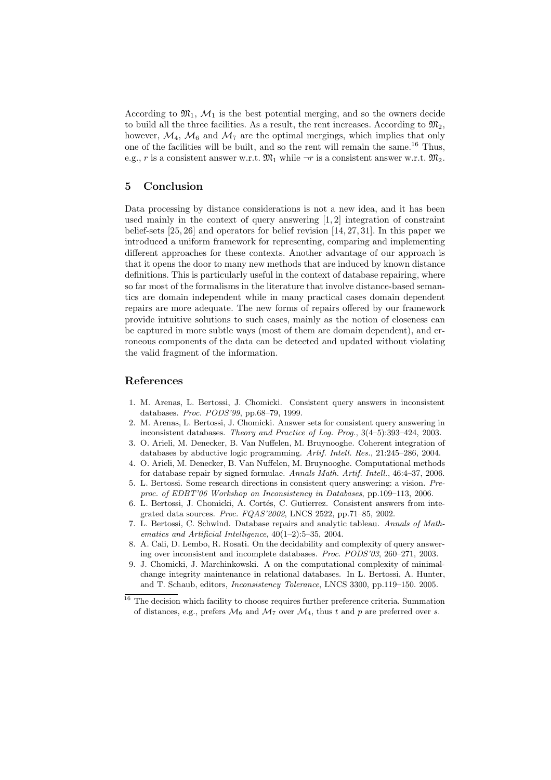According to  $\mathfrak{M}_1$ ,  $\mathcal{M}_1$  is the best potential merging, and so the owners decide to build all the three facilities. As a result, the rent increases. According to  $\mathfrak{M}_2$ , however,  $\mathcal{M}_4$ ,  $\mathcal{M}_6$  and  $\mathcal{M}_7$  are the optimal mergings, which implies that only one of the facilities will be built, and so the rent will remain the same.<sup>16</sup> Thus, e.g., r is a consistent answer w.r.t.  $\mathfrak{M}_1$  while  $\neg r$  is a consistent answer w.r.t.  $\mathfrak{M}_2$ .

## 5 Conclusion

Data processing by distance considerations is not a new idea, and it has been used mainly in the context of query answering [1, 2] integration of constraint belief-sets [25, 26] and operators for belief revision [14, 27, 31]. In this paper we introduced a uniform framework for representing, comparing and implementing different approaches for these contexts. Another advantage of our approach is that it opens the door to many new methods that are induced by known distance definitions. This is particularly useful in the context of database repairing, where so far most of the formalisms in the literature that involve distance-based semantics are domain independent while in many practical cases domain dependent repairs are more adequate. The new forms of repairs offered by our framework provide intuitive solutions to such cases, mainly as the notion of closeness can be captured in more subtle ways (most of them are domain dependent), and erroneous components of the data can be detected and updated without violating the valid fragment of the information.

## References

- 1. M. Arenas, L. Bertossi, J. Chomicki. Consistent query answers in inconsistent databases. Proc. PODS'99, pp.68–79, 1999.
- 2. M. Arenas, L. Bertossi, J. Chomicki. Answer sets for consistent query answering in inconsistent databases. Theory and Practice of Log. Prog., 3(4–5):393–424, 2003.
- 3. O. Arieli, M. Denecker, B. Van Nuffelen, M. Bruynooghe. Coherent integration of databases by abductive logic programming. Artif. Intell. Res., 21:245–286, 2004.
- 4. O. Arieli, M. Denecker, B. Van Nuffelen, M. Bruynooghe. Computational methods for database repair by signed formulae. Annals Math. Artif. Intell., 46:4–37, 2006.
- 5. L. Bertossi. Some research directions in consistent query answering: a vision. Preproc. of EDBT'06 Workshop on Inconsistency in Databases, pp.109–113, 2006.
- 6. L. Bertossi, J. Chomicki, A. Cortés, C. Gutierrez. Consistent answers from integrated data sources. Proc. FQAS'2002, LNCS 2522, pp.71–85, 2002.
- 7. L. Bertossi, C. Schwind. Database repairs and analytic tableau. Annals of Mathematics and Artificial Intelligence, 40(1–2):5–35, 2004.
- 8. A. Cali, D. Lembo, R. Rosati. On the decidability and complexity of query answering over inconsistent and incomplete databases. Proc. PODS'03, 260–271, 2003.
- 9. J. Chomicki, J. Marchinkowski. A on the computational complexity of minimalchange integrity maintenance in relational databases. In L. Bertossi, A. Hunter, and T. Schaub, editors, Inconsistency Tolerance, LNCS 3300, pp.119–150. 2005.

 $^{\rm 16}$  The decision which facility to choose requires further preference criteria. Summation of distances, e.g., prefers  $\mathcal{M}_6$  and  $\mathcal{M}_7$  over  $\mathcal{M}_4$ , thus t and p are preferred over s.